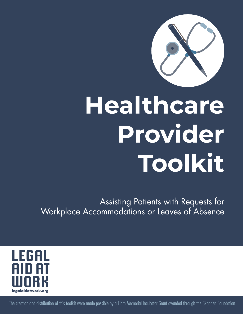

# Healthcare Provider Toolkit

Assisting Patients with Requests for Workplace Accommodations or Leaves of Absence



1 The creation and distribution of this toolkit were made possible by a Flom Memorial Incubator Grant awarded through the Skadden Foundation.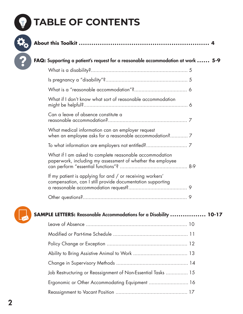

# **TABLE OF CONTENTS**

| <b>FAQ:</b> Supporting a patient's request for a reasonable accommodation at work  5-9                                                  |  |
|-----------------------------------------------------------------------------------------------------------------------------------------|--|
|                                                                                                                                         |  |
|                                                                                                                                         |  |
|                                                                                                                                         |  |
| What if I don't know what sort of reasonable accommodation                                                                              |  |
| Can a leave of absence constitute a                                                                                                     |  |
| What medical information can an employer request<br>when an employee asks for a reasonable accommodation? 7                             |  |
|                                                                                                                                         |  |
| What if I am asked to complete reasonable accommodation<br>paperwork, including my assessment of whether the employee                   |  |
| If my patient is applying for and / or receiving workers'<br>compensation, can I still provide documentation supporting                 |  |
|                                                                                                                                         |  |
| <b>SAMPLE LETTERS:</b> Reasonable Accommodations for a Disability  10-17                                                                |  |
|                                                                                                                                         |  |
|                                                                                                                                         |  |
| $\mathsf{D} \mathsf{P}$ and $\mathsf{C} \mathsf{P}$ and $\mathsf{C} \mathsf{P}$ and $\mathsf{C} \mathsf{P}$ and $\mathsf{C} \mathsf{P}$ |  |

| Job Restructuring or Reassignment of Non-Essential Tasks  15 |  |
|--------------------------------------------------------------|--|
| Ergonomic or Other Accommodating Equipment  16               |  |
|                                                              |  |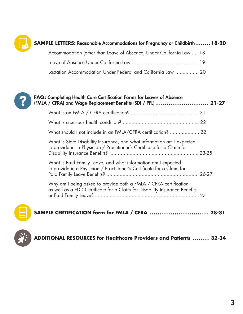

## **SAMPLE LETTERS:** Reasonable Accommodations for Pregnancy or Childbirth **. . . . . . .18-20**

| Accommodation (other than Leave of Absence) Under California Law  18 |  |
|----------------------------------------------------------------------|--|
|                                                                      |  |
| Lactation Accommodation Under Federal and California Law  20         |  |



| <b>FAQ:</b> Completing Health Care Certification Forms for Leaves of Absence<br>(FMLA / CFRA) and Wage-Replacement Benefits (SDI / PFL)  21-27 |                                                                                                                                                  |  |
|------------------------------------------------------------------------------------------------------------------------------------------------|--------------------------------------------------------------------------------------------------------------------------------------------------|--|
|                                                                                                                                                |                                                                                                                                                  |  |
|                                                                                                                                                |                                                                                                                                                  |  |
|                                                                                                                                                | What should I not include in an FMLA/CFRA certification?  22                                                                                     |  |
|                                                                                                                                                | What is State Disability Insurance, and what information am I expected<br>to provide in a Physician / Practitioner's Certificate for a Claim for |  |
|                                                                                                                                                | What is Paid Family Leave, and what information am I expected<br>to provide in a Physician / Practitioner's Certificate for a Claim for          |  |
|                                                                                                                                                | Why am I being asked to provide both a FMLA / CFRA certification<br>as well as a EDD Certificate for a Claim for Disability Insurance Benefits   |  |
|                                                                                                                                                |                                                                                                                                                  |  |



```
SAMPLE CERTIFICATION form for FMLA / CFRA . . . . . . . . . . . . . . . . . . . . . . . . . . . . 28-31
```


**ADDITIONAL RESOURCES for Healthcare Providers and Patients . . . . . . . . 32-34**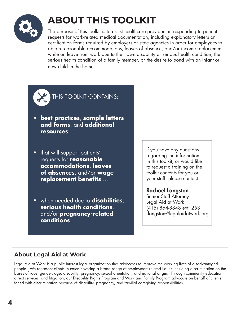

# **ABOUT THIS TOOLKIT**

The purpose of this toolkit is to assist healthcare providers in responding to patient requests for work-related medical documentation, including explanatory letters or certification forms required by employers or state agencies in order for employees to obtain reasonable accommodations, leaves of absence, and/or income replacement while on leave from work due to their own disability or serious health condition, the serious health condition of a family member, or the desire to bond with an infant or new child in the home.



THIS TOOLKIT CONTAINS:

- **• best practices**, **sample letters and forms**, and **additional resources** …
- that will support patients' requests for **reasonable accommodations**, **leaves of absences**, and/or **wage replacement benefits** …
- when needed due to **disabilities**, **serious health conditions**, and/or **pregnancy-related conditions**.

If you have any questions regarding the information in this toolkit, or would like to request a training on the toolkit contents for you or your staff, please contact:

Rachael Langston Senior Staff Attorney Legal Aid at Work (415) 864-8848 ext. 253 rlangston@legalaidatwork.org

## **About Legal Aid at Work**

Legal Aid at Work is a public interest legal organization that advocates to improve the working lives of disadvantaged people. We represent clients in cases covering a broad range of employment-related issues including discrimination on the bases of race, gender, age, disability, pregnancy, sexual orientation, and national origin. Through community education, direct services, and litigation, our Disability Rights Program and Work and Family Program advocate on behalf of clients faced with discrimination because of disability, pregnancy, and familial caregiving responsibilities.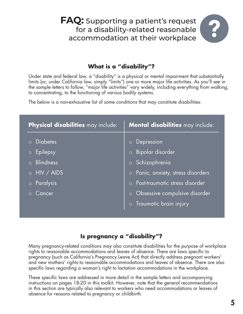**FAQ:** Supporting a patient's request for a disability-related reasonable accommodation at their workplace

## **What is a "disability"?**

Under state and federal law, a "disability" is a physical or mental impairment that substantially limits (or, under California law, simply "limits") one or more major life activities. As you'll see in the sample letters to follow, "major life activities" vary widely, including everything from walking, to concentrating, to the functioning of various bodily systems.

The below is a non-exhaustive list of some conditions that may constitute disabilities:

| Physical disabilities may include:                                                                                                            | Mental disabilities may include:                                                                                                                                                                                                                                     |  |
|-----------------------------------------------------------------------------------------------------------------------------------------------|----------------------------------------------------------------------------------------------------------------------------------------------------------------------------------------------------------------------------------------------------------------------|--|
| <b>Diabetes</b><br>$\bigcap$<br>Epilepsy<br>$\circ$<br><b>Blindness</b><br>$\circ$<br>HIV / AIDS<br>$\circ$<br>Paralysis<br>$\circ$<br>Cancer | Depression<br>$\circ$<br><b>Bipolar disorder</b><br>$\circ$<br>Schizophrenia<br>$\overline{\circ}$<br>Panic, anxiety, stress disorders<br>$\circ$<br>Post-traumatic stress disorder<br>$\circ$<br>Obsessive compulsive disorder<br>$\circ$<br>Traumatic brain injury |  |

#### **Is pregnancy a "disability"?**

Many pregnancy-related conditions may also constitute disabilities for the purpose of workplace rights to reasonable accommodations and leaves of absence. There are laws specific to pregnancy (such as California's Pregnancy Leave Act) that directly address pregnant workers' and new mothers' rights to reasonable accommodations and leaves of absence. There are also specific laws regarding a woman's right to lactation accommodations in the workplace.

These specific laws are addressed in more detail in the sample letters and accompanying instructions on pages 18-20 in this toolkit. However, note that the general recommendations in this section are typically also relevant to workers who need accommodations or leaves of absence for reasons related to pregnancy or childbirth.

2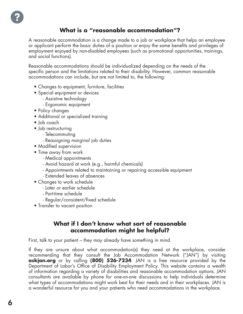#### **What is a "reasonable accommodation"?**

A reasonable accommodation is a change made to a job or workplace that helps an employee or applicant perform the basic duties of a position *or* enjoy the same benefits and privileges of employment enjoyed by non-disabled employees (such as promotional opportunities, trainings, and social functions).

Reasonable accommodations should be individualized depending on the needs of the specific person and the limitations related to their disability. However, common reasonable accommodations can include, but are not limited to, the following:

- Changes to equipment, furniture, facilities
- Special equipment or devices
	- Assistive technology
	- Ergonomic equipment
- Policy changes
- Additional or specialized training
- Job coach
- Job restructuring
	- Telecommuting
	- Reassigning marginal job duties
- Modified supervision
- Time away from work
	- Medical appointments
	- Avoid hazard at work (e.g., harmful chemicals)
	- Appointments related to maintaining or repairing accessible equipment
	- Extended leaves of absences
- Changes to work schedule
	- Later or earlier schedule
	- Part-time schedule
	- Regular/consistent/fixed schedule
- Transfer to vacant position

#### **What if I don't know what sort of reasonable accommodation might be helpful?**

First, talk to your patient – they may already have something in mind.

If they are unsure about what accommodation(s) they need at the workplace, consider recommending that they consult the Job Accommodation Network ("JAN") by visiting **askjan.org** or by calling **(800) 526-7234**. JAN is a free resource provided by the Department of Labor's Office of Disability Employment Policy. This website contains a wealth of information regarding a variety of disabilities and reasonable accommodation options. JAN consultants are available by phone for one-on-one discussions to help individuals determine what types of accommodations might work best for their needs and in their workplaces. JAN is a wonderful resource for you and your patients who need accommodations in the workplace.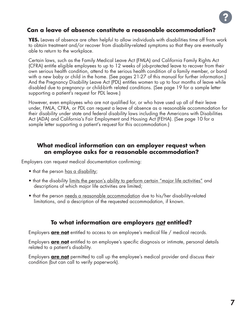#### **Can a leave of absence constitute a reasonable accommodation?**

**YES.** Leaves of absence are often helpful to allow individuals with disabilities time off from work to obtain treatment and/or recover from disability-related symptoms so that they are eventually able to return to the workplace.

Certain laws, such as the Family Medical Leave Act (FMLA) and California Family Rights Act (CFRA) entitle eligible employees to up to 12 weeks of job-protected leave to recover from their own serious health condition, attend to the serious health condition of a family member, or bond with a new baby or child in the home. (See pages 21-27 of this manual for further information.) And the Pregnancy Disability Leave Act (PDL) entitles women to up to four months of leave while disabled due to pregnancy- or child-birth related conditions. (See page 19 for a sample letter supporting a patient's request for PDL leave.)

However, even employees who are not qualified for, or who have used up all of their leave under, FMLA, CFRA, or PDL can request a leave of absence as a reasonable accommodation for their disability under state and federal disability laws including the Americans with Disabilities Act (ADA) and California's Fair Employment and Housing Act (FEHA). (See page 10 for a sample letter supporting a patient's request for this accommodation.)

#### **What medical information can an employer request when an employee asks for a reasonable accommodation?**

Employers can request medical documentation confirming:

- that the person has a disability;
- that the disability limits the person's ability to perform certain "major life activities" and descriptions of which major life activities are limited;
- that the person needs a reasonable accommodation due to his/her disability-related limitations, and a description of the requested accommodation, if known.

#### **To what information are employers** *not* **entitled?**

Employers **are not** entitled to access to an employee's medical file / medical records.

Employers **are not** entitled to an employee's specific diagnosis or intimate, personal details related to a patient's disability.

Employers **are not** permitted to call up the employee's medical provider and discuss their condition (but can call to verify paperwork).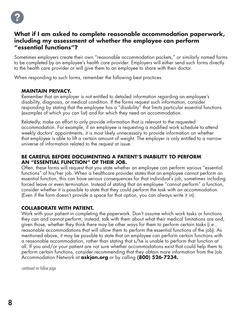

#### **What if I am asked to complete reasonable accommodation paperwork, including my assessment of whether the employee can perform "essential functions"?**

Sometimes employers create their own "reasonable accommodation packets," or similarly named forms to be completed by an employee's health care provider. Employers will either send such forms directly to the health care provider or will give them to an employee to share with their doctor.

When responding to such forms, remember the following best practices:

#### **MAINTAIN PRIVACY.**

Remember that an employer is not entitled to detailed information regarding an employee's disability, diagnosis, or medical condition. If the forms request such information, consider responding by stating that the employee has a "disability" that limits particular essential functions (examples of which you can list) and for which they need an accommodation.

Relatedly, make an effort to only provide information that is relevant to the requested accommodation. For example, if an employee is requesting a modified work schedule to attend weekly doctors' appointments, it is most likely unnecessary to provide information on whether that employee is able to lift a certain amount of weight. The employer is only entitled to a narrow universe of information related to the request at issue.

#### **BE CAREFUL BEFORE DOCUMENTING A PATIENT'S INABILITY TO PERFORM AN "ESSENTIAL FUNCTION" OF THEIR JOB.**

Often, these forms will request that you state whether an employee can perform various "essential functions" of his/her job. When a healthcare provider states that an employee cannot perform an essential function, this can have serious consequences for that individual's job, sometimes including forced leave or even termination. Instead of stating that an employee "cannot perform" a function, consider whether it is possible to state that they could perform the task with an accommodation. (Even if the form doesn't provide a space for that option, you can always write it in).

#### **COLLABORATE WITH PATIENT.**

Work with your patient in completing the paperwork. Don't assume which work tasks or functions they can and cannot perform; instead, talk with them about what their medical limitations are and, given those, whether they think there may be other ways for them to perform certain tasks (i.e., reasonable accommodations that will allow them to perform the essential functions of the job). As mentioned above, it may be possible to state that an employee can perform certain functions with a reasonable accommodation, rather than stating that s/he is unable to perform that function at all. If you and/or your patient are not sure whether accommodations exist that could help them to perform certain functions, consider recommending that they obtain more information from the Job Accommodation Network at **askjan.org** or by calling **(800) 526-7234.**

*continued on follow page*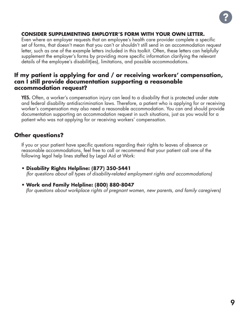

#### **CONSIDER SUPPLEMENTING EMPLOYER'S FORM WITH YOUR OWN LETTER.**

Even where an employer requests that an employee's health care provider complete a specific set of forms, that doesn't mean that you can't or shouldn't still send in an accommodation request letter, such as one of the example letters included in this toolkit. Often, these letters can helpfully supplement the employer's forms by providing more specific information clarifying the relevant details of the employee's disabilit(ies), limitations, and possible accommodations.

#### **If my patient is applying for and / or receiving workers' compensation, can I still provide documentation supporting a reasonable accommodation request?**

**YES.** Often, a worker's compensation injury can lead to a disability that is protected under state and federal disability antidiscrimination laws. Therefore, a patient who is applying for or receiving worker's compensation may also need a reasonable accommodation. You can and should provide documentation supporting an accommodation request in such situations, just as you would for a patient who was not applying for or receiving workers' compensation.

#### **Other questions?**

If you or your patient have specific questions regarding their rights to leaves of absence or reasonable accommodations, feel free to call or recommend that your patient call one of the following legal help lines staffed by Legal Aid at Work:

- **Disability Rights Helpline: (877) 350-5441** *(for questions about all types of disability-related employment rights and accommodations)*
- **Work and Family Helpline: (800) 880-8047**

 *(for questions about workplace rights of pregnant women, new parents, and family caregivers)*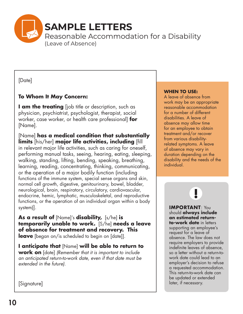

[Date]

#### **To Whom It May Concern:**

**I am the treating** (job title or description, such as physician, psychiatrist, psychologist, therapist, social worker, case worker, or health care professional] **for** [Name].

[Name] **has a medical condition that substantially limits** [his/her] **major life activities, including** [fill in relevant major life activities, such as caring for oneself, performing manual tasks, seeing, hearing, eating, sleeping, walking, standing, lifting, bending, speaking, breathing, learning, reading, concentrating, thinking, communicating, or the operation of a major bodily function (including functions of the immune system, special sense organs and skin, normal cell growth, digestive, genitourinary, bowel, bladder, neurological, brain, respiratory, circulatory, cardiovascular, endocrine, hemic, lymphatic, musculoskeletal, and reproductive functions, or the operation of an individual organ within a body system)].

**As a result of** [Name]'s **disability,** [s/he] **is temporarily unable to work.** [S/he] **needs a leave of absence for treatment and recovery. This leave** [began on/is scheduled to begin on [date]].

**I anticipate that** [Name] **will be able to return to work on** [date] *(Remember that it is important to include an anticipated return-to-work date, even if that date must be extended in the future).* 

#### **WHEN TO USE:**

A leave of absence from work may be an appropriate reasonable accommodation for a number of different disabilities. A leave of absence may allow time for an employee to obtain treatment and/or recover from various disabilityrelated symptoms. A leave of absence may vary in duration depending on the disability and the needs of the individual.

**IMPORTANT**: You should **always include an estimated returnto-work date** in letters supporting an employee's request for a leave of absence. The law does not require employers to provide indefinite leaves of absence, so a letter without a return-towork date could lead to an employer's decision to refuse a requested accommodation. This return-to-work date can be updated or extended later, if necessary.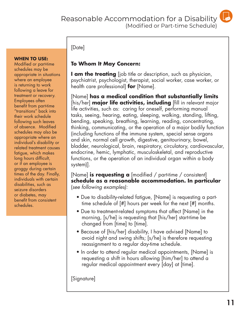

#### [Date]

#### **WHEN TO USE:**

Modified or part-time schedules may be appropriate in situations where an employee is returning to work following a leave for treatment or recovery. Employees often benefit from part-time "transitions" back into their work schedule following such leaves of absence. Modified schedules may also be appropriate where an individual's disability or related treatment causes fatigue, which makes long hours difficult, or if an employee is groggy during certain times of the day. Finally, individuals with certain disabilities, such as seizure disorders or diabetes, may benefit from consistent schedules.

#### **To Whom It May Concern:**

**I am the treating** [job title or description, such as physician, psychiatrist, psychologist, therapist, social worker, case worker, or health care professional] **for** [Name].

[Name] **has a medical condition that substantially limits**  [his/her] **major life activities, including** [fill in relevant major life activities, such as: caring for oneself, performing manual tasks, seeing, hearing, eating, sleeping, walking, standing, lifting, bending, speaking, breathing, learning, reading, concentrating, thinking, communicating, or the operation of a major bodily function (including functions of the immune system, special sense organs and skin, normal cell growth, digestive, genitourinary, bowel, bladder, neurological, brain, respiratory, circulatory, cardiovascular, endocrine, hemic, lymphatic, musculoskeletal, and reproductive functions, or the operation of an individual organ within a body system)].

[Name] **is requesting a** [modified / part-time / consistent] **schedule as a reasonable accommodation. In particular** (*see following examples):*

- Due to disability-related fatigue, [Name] is requesting a parttime schedule of [#] hours per week for the next [#] months.
- Due to treatment-related symptoms that affect [Name] in the morning, [s/he] is requesting that [his/her] start-time be changed from [time] to [time].
- Because of [his/her] disability, I have advised [Name] to avoid night and swing shifts; [s/he] is therefore requesting reassignment to a regular day-time schedule.
- In order to attend regular medical appointments, [Name] is requesting a shift in hours allowing [him/her] to attend a regular medical appointment every [day] at [time].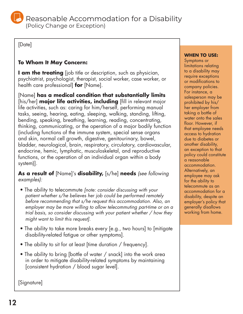

[Date]

#### **To Whom It May Concern:**

**I am the treating** [job title or description, such as physician, psychiatrist, psychologist, therapist, social worker, case worker, or health care professional] **for** [Name].

[Name] **has a medical condition that substantially limits**  [his/her] **major life activities, including** [fill in relevant major life activities, such as: caring for him/herself, performing manual tasks, seeing, hearing, eating, sleeping, walking, standing, lifting, bending, speaking, breathing, learning, reading, concentrating, thinking, communicating, or the operation of a major bodily function (including functions of the immune system, special sense organs and skin, normal cell growth, digestive, genitourinary, bowel, bladder, neurological, brain, respiratory, circulatory, cardiovascular, endocrine, hemic, lymphatic, musculoskeletal, and reproductive functions, or the operation of an individual organ within a body system)].

#### **As a result of** [Name]'s **disability,** [s/he] **needs** *(see following examples):*

- The ability to telecommute *[note: consider discussing with your patient whether s/he believes her job could be performed remotely before recommending that s/he request this accommodation. Also, an employer may be more willing to allow telecommuting part-time or on a trial basis, so consider discussing with your patient whether / how they might want to limit this request].*
- The ability to take more breaks every [e.g., two hours] to [mitigate] disability-related fatigue or other symptoms].
- The ability to sit for at least [time duration / frequency].
- The ability to bring [bottle of water / snack] into the work area in order to mitigate disability-related symptoms by maintaining [consistent hydration / blood sugar level].

[Signature]

#### **WHEN TO USE:**

Symptoms or limitations relating to a disability may require exceptions or modifications to company policies. For instance, a salesperson may be prohibited by his/ her employer from taking a bottle of water onto the sales floor. However, if that employee needs access to hydration due to diabetes or another disability, an exception to that policy could constitute a reasonable accommodation. Alternatively, an employee may ask for the ability to telecommute as an accommodation for a disability, despite an employer's policy that generally disallows working from home.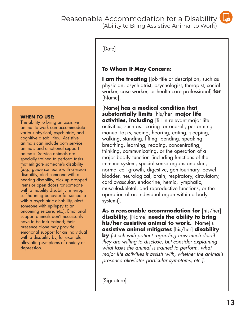#### Reasonable Accommodation for a Disability (Ability to Bring Assistive Animal to Work)



#### [Date]

#### **To Whom It May Concern:**

**I am the treating** (job title or description, such as physician, psychiatrist, psychologist, therapist, social worker, case worker, or health care professional] **for** [Name].

[Name] **has a medical condition that substantially limits** [his/her] **major life activities, including** [fill in relevant major life activities, such as: caring for oneself, performing manual tasks, seeing, hearing, eating, sleeping, walking, standing, lifting, bending, speaking, breathing, learning, reading, concentrating, thinking, communicating, or the operation of a major bodily function (including functions of the immune system, special sense organs and skin, normal cell growth, digestive, genitourinary, bowel, bladder, neurological, brain, respiratory, circulatory, cardiovascular, endocrine, hemic, lymphatic, musculoskeletal, and reproductive functions, or the operation of an individual organ within a body system)].

**As a reasonable accommodation for** [his/her] **disability,** [Name] **needs the ability to bring his/her assistive animal to work.** [Name]'s **assistive animal mitigates** [his/her] **disability by** *[check with patient regarding how much detail they are willing to disclose, but consider explaining what tasks the animal is trained to perform, what major life activities it assists with, whether the animal's presence alleviates particular symptoms, etc.].*

[Signature]

#### **WHEN TO USE:**

The ability to bring an assistive animal to work can accommodate various physical, psychiatric, and cognitive disabilities. Assistive animals can include both service animals and emotional support animals. Service animals are specially trained to perform tasks that mitigate someone's disability (e.g., guide someone with a vision disability, alert someone with a hearing disability, pick up dropped items or open doors for someone with a mobility disability, interrupt self-harming behavior for someone with a psychiatric disability, alert someone with epilepsy to an oncoming seizure, etc.). Emotional support animals don't necessarily have to be task trained; their presence alone may provide emotional support for an individual with a disability by, for example, alleviating symptoms of anxiety or depression.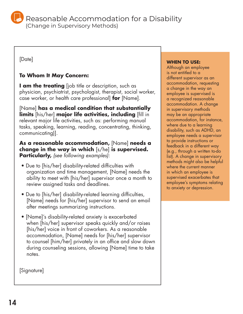Reasonable Accommodation for a Disability (Change in Supervisory Methods)

[Date]

#### **To Whom It May Concern:**

**I am the treating** [job title or description, such as physician, psychiatrist, psychologist, therapist, social worker, case worker, or health care professional] **for** [Name].

[Name] **has a medical condition that substantially limits** [his/her] **major life activities, including** [fill in relevant major life activities, such as: performing manual tasks, speaking, learning, reading, concentrating, thinking, communicating)].

#### **As a reasonable accommodation,** [Name] **needs a change in the way in which** [s/he] **is supervised. Particularly,** *(see following examples):*

- Due to [his/her] disability-related difficulties with organization and time management, [Name] needs the ability to meet with [his/her] supervisor once a month to review assigned tasks and deadlines.
- Due to [his/her] disability-related learning difficulties, [Name] needs for [his/her] supervisor to send an email after meetings summarizing instructions.
- [Name]'s disability-related anxiety is exacerbated when [his/her] supervisor speaks quickly and/or raises [his/her] voice in front of coworkers. As a reasonable accommodation, [Name] needs for [his/her] supervisor to counsel [him/her] privately in an office and slow down during counseling sessions, allowing [Name] time to take notes.

[Signature]

#### **WHEN TO USE:**

Although an employee is not entitled to a different supervisor as an accommodation, requesting a change in the way an employee is supervised is a recognized reasonable accommodation. A change in supervisory methods may be an appropriate accommodation, for instance, where due to a learning disability, such as ADHD, an employee needs a supervisor to provide instructions or feedback in a different way (e.g., through a written to-do list). A change in supervisory methods might also be helpful where the current manner in which an employee is supervised exacerbates that employee's symptoms relating to anxiety or depression.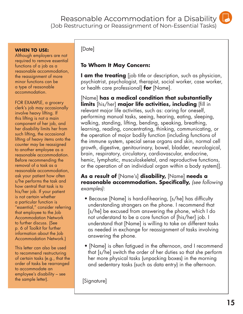Reasonable Accommodation for a Disability (Job Restructuring or Reassignment of Non-Essential Tasks)



#### **WHEN TO USE:**

Although employers are not required to remove essential functions of a job as a reasonable accommodation, the reassignment of more minor functions can be a type of reasonable accommodation.

FOR EXAMPLE, a grocery clerk's job may occasionally involve heavy lifting. If this lifting is not a main component of her job, and her disability limits her from such lifting, the occasional lifting of heavy items onto the counter may be reassigned to another employee as a reasonable accommodation. Before recommending the removal of a task as a reasonable accommodation, ask your patient how often s/he performs the task and how central that task is to his/her job. If your patient is not certain whether a particular function is "essential," consider referring that employee to the Job Accommodation Network to further discuss. (See p. 6 of Toolkit for further information about the Job Accommodation Network.)

This letter can also be used to recommend restructuring of certain tasks (e.g., that the order of tasks be rearranged to accommodate an employee's disability – see the sample letter).

#### [Date]

#### **To Whom It May Concern:**

**I am the treating** [job title or description, such as physician, psychiatrist, psychologist, therapist, social worker, case worker, or health care professional] **for** [Name].

[Name] **has a medical condition that substantially limits** [his/her] **major life activities, including** [fill in relevant major life activities, such as: caring for oneself, performing manual tasks, seeing, hearing, eating, sleeping, walking, standing, lifting, bending, speaking, breathing, learning, reading, concentrating, thinking, communicating, or the operation of major bodily function (including functions of the immune system, special sense organs and skin, normal cell growth, digestive, genitourinary, bowel, bladder, neurological, brain, respiratory, circulatory, cardiovascular, endocrine, hemic, lymphatic, musculoskeletal, and reproductive functions, or the operation of an individual organ within a body system)].

#### **As a result of** [Name's] **disability,** [Name] **needs a reasonable accommodation. Specifically,** *(see following examples):*

- Because [Name] is hard-of-hearing, [s/he] has difficulty understanding strangers on the phone. I recommend that [s/he] be excused from answering the phone, which I do not understand to be a core function of [his/her] job. I understand that [Name] is willing to take on different tasks as needed in exchange for reassignment of tasks involving answering the phone.
- [Name] is often fatigued in the afternoon, and I recommend that [s/he] switch the order of her duties so that she perform her more physical tasks (unpacking boxes) in the morning and sedentary tasks (such as data entry) in the afternoon.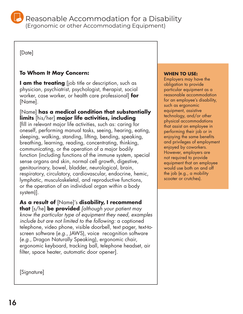Reasonable Accommodation for a Disability

(Ergonomic or other Accommodating Equipment)

[Date]

#### **To Whom It May Concern:**

**I am the treating** [job title or description, such as physician, psychiatrist, psychologist, therapist, social worker, case worker, or health care professional] **for** [Name].

#### [Name] **has a medical condition that substantially limits** [his/her] **major life activities, including**

[fill in relevant major life activities, such as: caring for oneself, performing manual tasks, seeing, hearing, eating, sleeping, walking, standing, lifting, bending, speaking, breathing, learning, reading, concentrating, thinking, communicating, or the operation of a major bodily function (including functions of the immune system, special sense organs and skin, normal cell growth, digestive, genitourinary, bowel, bladder, neurological, brain, respiratory, circulatory, cardiovascular, endocrine, hemic, lymphatic, musculoskeletal, and reproductive functions, or the operation of an individual organ within a body system)].

#### **As a result of** [Name]'s **disability, I recommend**

**that** [s/he] **be provided** *[although your patient may know the particular type of equipment they need, examples include but are not limited to the following:* a captioned telephone, video phone, visible doorbell, text pager, text-toscreen software (*e.g.*, JAWS), voice recognition software (*e.g.*, Dragon Naturally Speaking), ergonomic chair, ergonomic keyboard, tracking ball, telephone headset, air filter, space heater, automatic door opener].

[Signature]

#### **WHEN TO USE:**

Employers may have the obligation to provide particular equipment as a reasonable accommodation for an employee's disability, such as ergonomic equipment, assistive technology, and/or other physical accommodations that assist an employee in performing their job or in enjoying the same benefits and privileges of employment enjoyed by coworkers. However, employers are not required to provide equipment that an employee would use both on and off the job (e.g., a mobility scooter or crutches).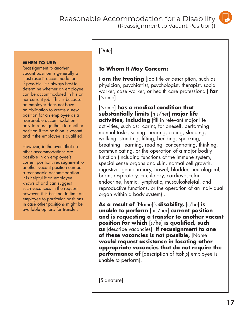Reasonable Accommodation for a Disability (Reassignment to Vacant Position))



#### **WHEN TO USE:**

Reassignment to another vacant position is generally a "last resort" accommodation. If possible, it's always best to determine whether an employee can be accommodated in his or her current job. This is because an employer does not have an obligation to create a new position for an employee as a reasonable accommodation only to reassign them to another position if the position is vacant and if the employee is qualified.

However, in the event that no other accommodations are possible in an employee's current position, reassignment to another vacant position can be a reasonable accommodation. It is helpful if an employee knows of and can suggest such vacancies in the request however, it is best not to limit an employee to particular positions in case other positions might be available options for transfer.

#### [Date]

#### **To Whom It May Concern:**

**I am the treating** (job title or description, such as physician, psychiatrist, psychologist, therapist, social worker, case worker, or health care professional] **for** [Name].

[Name] **has a medical condition that substantially limits** [his/her] **major life activities, including** [fill in relevant major life activities, such as: caring for oneself, performing manual tasks, seeing, hearing, eating, sleeping, walking, standing, lifting, bending, speaking, breathing, learning, reading, concentrating, thinking, communicating, or the operation of a major bodily function (including functions of the immune system, special sense organs and skin, normal cell growth, digestive, genitourinary, bowel, bladder, neurological, brain, respiratory, circulatory, cardiovascular, endocrine, hemic, lymphatic, musculoskeletal, and reproductive functions, or the operation of an individual organ within a body system)].

**As a result of** [Name]'s **disability,** [s/he] **is unable to perform** [his/her] **current position and is requesting a transfer to another vacant position for which** [s/he] **is qualified, such as** [describe vacancies]. **If reassignment to one of these vacancies is not possible,** [Name] **would request assistance in locating other appropriate vacancies that do not require the performance of** [description of task(s) employee is unable to perform].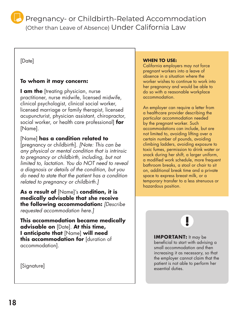

Pregnancy- or Childbirth-Related Accommodation (Other than Leave of Absence) Under California Law

#### [Date]

#### **To whom it may concern:**

**I am the** [treating physician, nurse practitioner, nurse midwife, licensed midwife, clinical psychologist, clinical social worker, licensed marriage or family therapist, licensed acupuncturist, physician assistant, chiropractor, social worker, or health care professional] **for**  [Name].

#### [Name] **has a condition related to**

[pregnancy or childbirth]. *[Note: This can be any physical or mental condition that is intrinsic to pregnancy or childbirth, including, but not limited to, lactation. You do NOT need to reveal a diagnosis or details of the condition, but you do need to state that the patient has a condition related to pregnancy or childbirth.]* 

**As a result of** [Name]'s **condition, it is medically advisable that she receive the following accommodation:** *[Describe requested accommodation here.]* 

**This accommodation became medically advisable on** [Date]. **At this time, I anticipate that** [Name] **will need this accommodation for** [duration of accommodation].

#### **WHEN TO USE:**

California employers may not force pregnant workers into a leave of absence in a situation where the worker wishes to continue to work into her pregnancy and would be able to do so with a reasonable workplace accommodation.

An employer can require a letter from a healthcare provider describing the particular accommodation needed by the pregnant worker. Such accommodations can include, but are not limited to, avoiding lifting over a certain number of pounds, avoiding climbing ladders, avoiding exposure to toxic fumes, permission to drink water or snack during her shift, a larger uniform, a modified work schedule, more frequent bathroom breaks, a stool or chair to sit on, additional break time and a private space to express breast milk, or a temporary transfer to a less strenuous or hazardous position.

**IMPORTANT:** It may be beneficial to start with advising a small accommodation and then increasing it as necessary, so that the employer cannot claim that the patient is not able to perform her essential duties.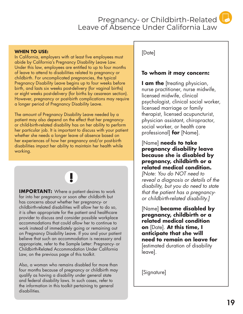Pregnancy- or Childbirth-Related Leave of Absence Under California Law

#### **WHEN TO USE:**

In California, employers with at least five employees must abide by California's Pregnancy Disability Leave Law. Under this law, employees are entitled to up to four months of leave to attend to disabilities related to pregnancy or childbirth. For uncomplicated pregnancies, the typical Pregnancy Disability Leave begins up to four weeks before birth, and lasts six weeks post-delivery (for vaginal births) or eight weeks post-delivery (for births by cesarean section). However, pregnancy or post-birth complications may require a longer period of Pregnancy Disability Leave.

The amount of Pregnancy Disability Leave needed by a patient may also depend on the effect that her pregnancyor child-birth-related disability has on her ability to perform her particular job. It is important to discuss with your patient whether she needs a longer leave of absence based on her experiences of how her pregnancy and/or post-birth disabilities impact her ability to maintain her health while working.

Į

**IMPORTANT:** Where a patient desires to work far into her pregnancy or soon after childbirth but has concerns about whether her pregnancy- or childbirth-related disabilities will allow her to do so, it is often appropriate for the patient and healthcare provider to discuss and consider possible workplace accommodations that could allow her to continue to work instead of immediately going or remaining out on Pregnancy Disability Leave. If you and your patient believe that such an accommodation is necessary and appropriate, refer to the Sample Letter: Pregnancy- or Childbirth-Related Accommodation Under California Law, on the previous page of this toolkit.

Also, a woman who remains disabled for more than four months because of pregnancy or childbirth may qualify as having a disability under general state and federal disability laws. In such cases, refer to the information in this toolkit pertaining to general disabilities.

[Date]

#### **To whom it may concern:**

**I am the** [treating physician, nurse practitioner, nurse midwife, licensed midwife, clinical psychologist, clinical social worker, licensed marriage or family therapist, licensed acupuncturist, physician assistant, chiropractor, social worker, or health care professional] **for** [Name].

#### [Name] **needs to take pregnancy disability leave because she is disabled by pregnancy, childbirth or a related medical condition.**

*[Note: You do NOT need to reveal a diagnosis or details of the disability, but you do need to state that the patient has a pregnancyor childbirth-related disability.]*

[Name] **became disabled by pregnancy, childbirth or a related medical condition on** [Date]. **At this time, I anticipate that she will need to remain on leave for**  [estimated duration of disability leave].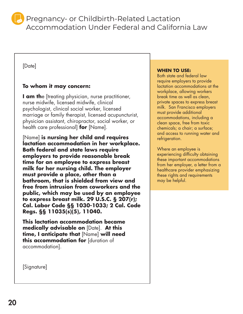Pregnancy- or Childbirth-Related Lactation Accommodation Under Federal and California Law

#### [Date]

#### **To whom it may concern:**

**I am the** [treating physician, nurse practitioner, nurse midwife, licensed midwife, clinical psychologist, clinical social worker, licensed marriage or family therapist, licensed acupuncturist, physician assistant, chiropractor, social worker, or health care professional] **for** [Name].

[Name] **is nursing her child and requires lactation accommodation in her workplace. Both federal and state laws require employers to provide reasonable break time for an employee to express breast milk for her nursing child. The employer must provide a place, other than a bathroom, that is shielded from view and free from intrusion from coworkers and the public, which may be used by an employee to express breast milk. 29 U.S.C. § 207(r); Cal. Labor Code §§ 1030-1033; 2 Cal. Code Regs. §§ 11035(s)(5), 11040.**

**This lactation accommodation became medically advisable on** [Date]. **At this time, I anticipate that** [Name] **will need this accommodation for** [duration of accommodation].

**WHEN TO USE:** 

Both state and federal law require employers to provide lactation accommodations at the workplace, allowing workers break time as well as clean, private spaces to express breast milk. San Francisco employers must provide additional accommodations, including a clean space, free from toxic chemicals; a chair; a surface; and access to running water and refrigeration.

Where an employee is experiencing difficulty obtaining these important accommodations from her employer, a letter from a healthcare provider emphasizing these rights and requirements may be helpful.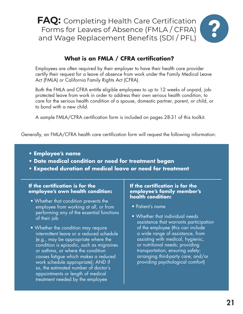**FAQ:** Completing Health Care Certification Forms for Leaves of Absence (FMLA / CFRA) and Wage Replacement Benefits (SDI / PFL)



#### **What is an FMLA / CFRA certification?**

Employees are often required by their employer to have their health care provider certify their request for a leave of absence from work under the Family Medical Leave Act (FMLA) or California Family Rights Act (CFRA).

Both the FMLA and CFRA entitle eligible employees to up to 12 weeks of unpaid, jobprotected leave from work in order to address their own serious health condition, to care for the serious health condition of a spouse, domestic partner, parent, or child, or to bond with a new child.

A sample FMLA/CFRA certification form is included on pages 28-31 of this toolkit.

Generally, an FMLA/CFRA health care certification form will request the following information:

- **Employee's name**
- **Date medical condition or need for treatment began**
- **Expected duration of medical leave or need for treatment**

#### **If the certification is for the employee's own health condition:**

- Whether that condition prevents the employee from working at all, or from performing any of the essential functions of their job
- Whether the condition may require intermittent leave or a reduced schedule (e.g., may be appropriate where the condition is episodic, such as migraines or asthma, or where the condition causes fatigue which makes a reduced work schedule appropriate); AND if so, the estimated number of doctor's appointments or length of medical treatment needed by the employee

#### **If the certification is for the employee's family member's health condition:**

- Patient's name
- Whether that individual needs assistance that warrants participation of the employee (this can include a wide range of assistance, from assisting with medical, hygienic, or nutritional needs; providing transportation; ensuring safety; arranging third-party care; and/or providing psychological comfort)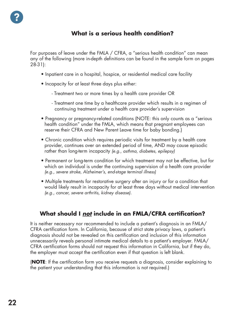#### **What is a serious health condition?**

For purposes of leave under the FMLA / CFRA, a "serious health condition" can mean any of the following (more in-depth definitions can be found in the sample form on pages 28-31):

- Inpatient care in a hospital, hospice, or residential medical care facility
- Incapacity for at least three days plus either:
	- Treatment two or more times by a health care provider OR
	- Treatment one time by a healthcare provider which results in a regimen of continuing treatment under a health care provider's supervision
- Pregnancy or pregnancy-related conditions (NOTE: this only counts as a "serious health condition" under the FMLA, which means that pregnant employees can reserve their CFRA and New Parent Leave time for baby bonding.)
- Chronic condition which requires periodic visits for treatment by a health care provider, continues over an extended period of time, AND may cause episodic rather than long-term incapacity *(e.g., asthma, diabetes, epilepsy)*
- Permanent or long-term condition for which treatment may not be effective, but for which an individual is under the continuing supervision of a health care provider *(e.g., severe stroke, Alzheimer's, end-stage terminal illness)*
- Multiple treatments for restorative surgery after an injury or for a condition that would likely result in incapacity for at least three days without medical intervention *(e.g., cancer, severe arthritis, kidney disease)*.

#### **What should I** *not* **include in an FMLA/CFRA certification?**

It is neither necessary nor recommended to include a patient's diagnosis in an FMLA/ CFRA certification form. In California, because of strict state privacy laws, a patient's diagnosis should not be revealed on this certification and inclusion of this information unnecessarily reveals personal intimate medical details to a patient's employer. FMLA/ CFRA certification forms should not request this information in California, but if they do, the employer must accept the certification even if that question is left blank.

(**NOTE**: If the certification form you receive requests a diagnosis, consider explaining to the patient your understanding that this information is not required.)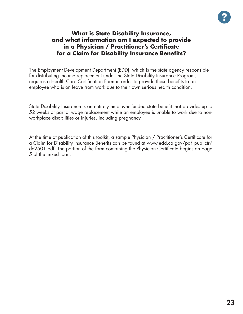

#### **What is State Disability Insurance, and what information am I expected to provide in a Physician / Practitioner's Certificate for a Claim for Disability Insurance Benefits?**

The Employment Development Department (EDD), which is the state agency responsible for distributing income replacement under the State Disability Insurance Program, requires a Health Care Certification Form in order to provide these benefits to an employee who is on leave from work due to their own serious health condition.

State Disability Insurance is an entirely employee-funded state benefit that provides up to 52 weeks of partial wage replacement while an employee is unable to work due to nonworkplace disabilities or injuries, including pregnancy.

At the time of publication of this toolkit, a sample Physician / Practitioner's Certificate for a Claim for Disability Insurance Benefits can be found at www.edd.ca.gov/pdf\_pub\_ctr/ de2501.pdf. The portion of the form containing the Physician Certificate begins on page 5 of the linked form.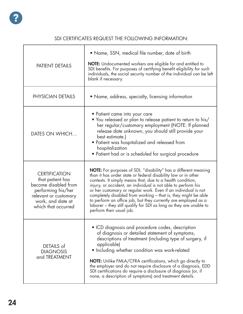#### SDI CERTIFICATES REQUEST THE FOLLOWING INFORMATION:

| <b>PATIENT DETAILS</b>                                                                                                                                      | • Name, SSN, medical file number, date of birth<br><b>NOTE:</b> Undocumented workers are eligible for and entitled to<br>SDI benefits. For purposes of certifying benefit eligibility for such<br>individuals, the social security number of the individual can be left<br>blank if necessary.                                                                                                                                                                                                                                                                                 |
|-------------------------------------------------------------------------------------------------------------------------------------------------------------|--------------------------------------------------------------------------------------------------------------------------------------------------------------------------------------------------------------------------------------------------------------------------------------------------------------------------------------------------------------------------------------------------------------------------------------------------------------------------------------------------------------------------------------------------------------------------------|
| PHYSICIAN DETAILS                                                                                                                                           | • Name, address, specialty, licensing information                                                                                                                                                                                                                                                                                                                                                                                                                                                                                                                              |
| DATES ON WHICH                                                                                                                                              | • Patient came into your care<br>• You released or plan to release patient to return to his/<br>her regular/customary employment (NOTE: If planned<br>release date unknown, you should still provide your<br>best estimate.)<br>• Patient was hospitalized and released from<br>hospitalization<br>• Patient had or is scheduled for surgical procedure                                                                                                                                                                                                                        |
| <b>CERTIFICATION</b><br>that patient has<br>become disabled from<br>performing his/her<br>relevant or customary<br>work, and date at<br>which that occurred | <b>NOTE:</b> For purposes of SDI, "disability" has a different meaning<br>than it has under state or federal disability law or in other<br>contexts. It simply means that, due to a health condition,<br>injury, or accident, an individual is not able to perform his<br>or her customary or regular work. Even if an individual is not<br>completely disabled from working - that is, they might be able<br>to perform an office job, but they currently are employed as a<br>laborer - they still qualify for SDI as long as they are unable to<br>perform their usual job. |
| DETAILS of<br><b>DIAGNOSIS</b><br>and TREATMENT                                                                                                             | • ICD diagnosis and procedure codes, description<br>of diagnosis or detailed statement of symptoms,<br>descriptions of treatment (including type of surgery, if<br>applicable)<br>• Including whether condition was work-related<br>NOTE: Unlike FMLA/CFRA certifications, which go directly to<br>the employer and do not require disclosure of a diagnosis, EDD<br>SDI certifications do require a disclosure of diagnosis (or, if<br>none, a description of symptoms) and treatment details.                                                                                |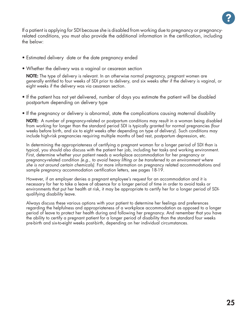

If a patient is applying for SDI because she is disabled from working due to pregnancy or pregnancyrelated conditions, you must also provide the additional information in the certification, including the below:

- Estimated delivery date or the date pregnancy ended
- Whether the delivery was a vaginal or cesarean section

NOTE: The type of delivery is relevant. In an otherwise normal pregnancy, pregnant women are generally entitled to four weeks of SDI prior to delivery, and six weeks after if the delivery is vaginal, or eight weeks if the delivery was via cesarean section.

- If the patient has not yet delivered, number of days you estimate the patient will be disabled postpartum depending on delivery type
- If the pregnancy or delivery is abnormal, state the complications causing maternal disability

NOTE: A number of pregnancy-related or postpartum conditions may result in a woman being disabled from working for longer than the standard period SDI is typically granted for normal pregnancies (four weeks before birth, and six to eight weeks after depending on type of delivery). Such conditions may include high-risk pregnancies requiring multiple months of bed rest, postpartum depression, etc.

In determining the appropriateness of certifying a pregnant woman for a longer period of SDI than is typical, you should also discuss with the patient her job, including her tasks and working environment. First, determine whether your patient needs a workplace accommodation for her pregnancy or pregnancy-related condition *(e.g., to avoid heavy lifting or be transferred to an environment where she is not around certain chemicals)*. For more information on pregnancy related accommodations and sample pregnancy accommodation certification letters, see pages 18-19.

However, if an employer denies a pregnant employee's request for an accommodation and it is necessary for her to take a leave of absence for a longer period of time in order to avoid tasks or environments that put her health at risk, it may be appropriate to certify her for a longer period of SDIqualifying disability leave.

Always discuss these various options with your patient to determine her feelings and preferences regarding the helpfulness and appropriateness of a workplace accommodation as opposed to a longer period of leave to protect her health during and following her pregnancy. And remember that you have the ability to certify a pregnant patient for a longer period of disability than the standard four weeks pre-birth and six-to-eight weeks post-birth, depending on her individual circumstances.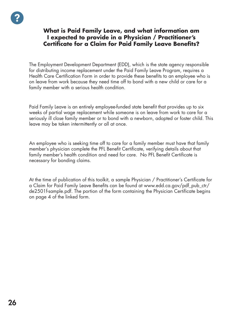#### **What is Paid Family Leave, and what information am I expected to provide in a Physician / Practitioner's Certificate for a Claim for Paid Family Leave Benefits?**

The Employment Development Department (EDD), which is the state agency responsible for distributing income replacement under the Paid Family Leave Program, requires a Health Care Certification Form in order to provide these benefits to an employee who is on leave from work because they need time off to bond with a new child or care for a family member with a serious health condition.

Paid Family Leave is an entirely employee-funded state benefit that provides up to six weeks of partial wage replacement while someone is on leave from work to care for a seriously ill close family member or to bond with a newborn, adopted or foster child. This leave may be taken intermittently or all at once.

An employee who is seeking time off to care for a family member must have that family member's physician complete the PFL Benefit Certificate, verifying details about that family member's health condition and need for care. No PFL Benefit Certificate is necessary for bonding claims.

At the time of publication of this toolkit, a sample Physician / Practitioner's Certificate for a Claim for Paid Family Leave Benefits can be found at www.edd.ca.gov/pdf\_pub\_ctr/ de2501f-sample.pdf. The portion of the form containing the Physician Certificate begins on page 4 of the linked form.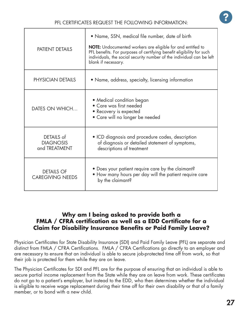| <b>PATIENT DETAILS</b>                          | • Name, SSN, medical file number, date of birth<br>NOTE: Undocumented workers are eligible for and entitled to<br>PFL benefits. For purposes of certifying benefit eligibility for such<br>individuals, the social security number of the individual can be left<br>blank if necessary. |
|-------------------------------------------------|-----------------------------------------------------------------------------------------------------------------------------------------------------------------------------------------------------------------------------------------------------------------------------------------|
| PHYSICIAN DETAILS                               | • Name, address, specialty, licensing information                                                                                                                                                                                                                                       |
| DATES ON WHICH                                  | • Medical condition began<br>• Care was first needed<br>• Recovery is expected<br>• Care will no longer be needed                                                                                                                                                                       |
| DETAILS of<br><b>DIAGNOSIS</b><br>and TREATMENT | • ICD diagnosis and procedure codes, description<br>of diagnosis or detailed statement of symptoms,<br>descriptions of treatment                                                                                                                                                        |
| <b>DETAILS OF</b><br><b>CAREGIVING NEEDS</b>    | • Does your patient require care by the claimant?<br>• How many hours per day will the patient require care<br>by the claimant?                                                                                                                                                         |

#### **Why am I being asked to provide both a FMLA / CFRA certification as well as a EDD Certificate for a Claim for Disability Insurance Benefits or Paid Family Leave?**

Physician Certificates for State Disability Insurance (SDI) and Paid Family Leave (PFL) are separate and distinct from FMLA / CFRA Certifications. FMLA / CFRA Certifications go directly to an employer and are necessary to ensure that an individual is able to secure job-protected time off from work, so that their job is protected for them while they are on leave.

The Physician Certificates for SDI and PFL are for the purpose of ensuring that an individual is able to secure partial income replacement from the State while they are on leave from work. These certificates do not go to a patient's employer, but instead to the EDD, who then determines whether the individual is eligible to receive wage replacement during their time off for their own disability or that of a family member, or to bond with a new child.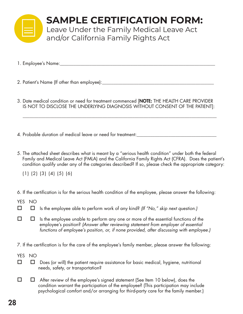

## **SAMPLE CERTIFICATION FORM:**

Leave Under the Family Medical Leave Act and/or California Family Rights Act

- 1. Employee's Name:\_\_\_\_\_\_\_\_\_\_\_\_\_\_\_\_\_\_\_\_\_\_\_\_\_\_\_\_\_\_\_\_\_\_\_\_\_\_\_\_\_\_\_\_\_\_\_\_\_\_\_\_\_\_\_\_\_\_\_\_\_\_\_\_\_\_\_\_
- 2. Patient's Name (If other than employee):\_\_\_\_\_\_\_\_\_\_\_\_\_\_\_\_\_\_\_\_\_\_\_\_\_\_\_\_\_\_\_\_\_\_\_\_\_\_\_\_\_\_\_\_\_\_\_\_\_
- 3. Date medical condition or need for treatment commenced [NOTE: THE HEALTH CARE PROVIDER IS NOT TO DISCLOSE THE UNDERLYING DIAGNOSIS WITHOUT CONSENT OF THE PATIENT]:

 $\overline{\phantom{a}}$  ,  $\overline{\phantom{a}}$  ,  $\overline{\phantom{a}}$  ,  $\overline{\phantom{a}}$  ,  $\overline{\phantom{a}}$  ,  $\overline{\phantom{a}}$  ,  $\overline{\phantom{a}}$  ,  $\overline{\phantom{a}}$  ,  $\overline{\phantom{a}}$  ,  $\overline{\phantom{a}}$  ,  $\overline{\phantom{a}}$  ,  $\overline{\phantom{a}}$  ,  $\overline{\phantom{a}}$  ,  $\overline{\phantom{a}}$  ,  $\overline{\phantom{a}}$  ,  $\overline{\phantom{a}}$ 

- 4. Probable duration of medical leave or need for treatment:
- 5. The attached sheet describes what is meant by a "serious health condition" under both the federal Family and Medical Leave Act (FMLA) and the California Family Rights Act (CFRA). Does the patient's condition qualify under any of the categories described? If so, please check the appropriate category:

(1) (2) (3) (4) (5) (6)

6. If the certification is for the serious health condition of the employee, please answer the following:

- YES NO
- Is the employee able to perform work of any kind? *(If "No," skip next question.)*
- $\Box$   $\Box$  Is the employee unable to perform any one or more of the essential functions of the employee's position? *(Answer after reviewing statement from employer of essential functions of employee's position, or, if none provided, after discussing with employee.)*
- 7. If the certification is for the care of the employee's family member, please answer the following:
- YES NO
- $\Box$   $\Box$  Does (or will) the patient require assistance for basic medical, hygiene, nutritional needs, safety, or transportation?
- $\Box$   $\Box$  After review of the employee's signed statement (See Item 10 below), does the condition warrant the participation of the employee? (This participation may include psychological comfort and/or arranging for third-party care for the family member.)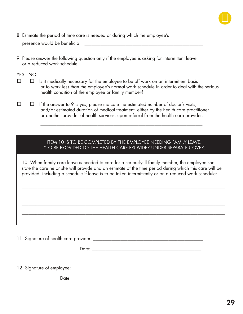

8. Estimate the period of time care is needed or during which the employee's

presence would be beneficial: \_\_\_\_\_\_\_\_\_\_\_\_\_\_\_\_\_\_\_\_\_\_\_\_\_\_\_\_\_\_\_\_\_\_\_\_\_\_\_\_\_\_\_\_\_\_\_\_\_\_\_\_

9. Please answer the following question only if the employee is asking for intermittent leave or a reduced work schedule.

YES NO

- $\Box$   $\Box$  Is it medically necessary for the employee to be off work on an intermittent basis or to work less than the employee's normal work schedule in order to deal with the serious health condition of the employee or family member?
- $\Box$   $\Box$  If the answer to 9 is yes, please indicate the estimated number of doctor's visits, and/or estimated duration of medical treatment, either by the health care practitioner or another provider of health services, upon referral from the health care provider:

\_\_\_\_\_\_\_\_\_\_\_\_\_\_\_\_\_\_\_\_\_\_\_\_\_\_\_\_\_\_\_\_\_\_\_\_\_\_\_\_\_\_\_\_\_\_\_\_\_\_\_\_\_\_\_\_\_\_\_\_\_\_\_\_\_\_\_\_\_\_\_

#### ITEM 10 IS TO BE COMPLETED BY THE EMPLOYEE NEEDING FAMILY LEAVE. \*TO BE PROVIDED TO THE HEALTH CARE PROVIDER UNDER SEPARATE COVER.

10. When family care leave is needed to care for a seriously-ill family member, the employee shall state the care he or she will provide and an estimate of the time period during which this care will be provided, including a schedule if leave is to be taken intermittently or on a reduced work schedule:

\_\_\_\_\_\_\_\_\_\_\_\_\_\_\_\_\_\_\_\_\_\_\_\_\_\_\_\_\_\_\_\_\_\_\_\_\_\_\_\_\_\_\_\_\_\_\_\_\_\_\_\_\_\_\_\_\_\_\_\_\_\_\_\_\_\_\_\_\_\_\_\_\_\_\_\_\_\_\_\_\_\_\_\_\_\_\_\_\_

\_\_\_\_\_\_\_\_\_\_\_\_\_\_\_\_\_\_\_\_\_\_\_\_\_\_\_\_\_\_\_\_\_\_\_\_\_\_\_\_\_\_\_\_\_\_\_\_\_\_\_\_\_\_\_\_\_\_\_\_\_\_\_\_\_\_\_\_\_\_\_\_\_\_\_\_\_\_\_\_\_\_\_\_\_\_\_\_\_

11. Signature of health care provider: \_\_\_\_\_\_\_\_\_\_\_\_\_\_\_\_\_\_\_\_\_\_\_\_\_\_\_\_\_\_\_\_\_\_\_\_\_\_\_\_\_\_\_\_\_\_\_\_

Date: \_\_\_\_\_\_\_\_\_\_\_\_\_\_\_\_\_\_\_\_\_\_\_\_\_\_\_\_\_\_\_\_\_\_\_\_\_\_\_\_\_\_\_\_\_\_\_\_

\_\_\_\_\_\_\_\_\_\_\_\_\_\_\_\_\_\_\_\_\_\_\_\_\_\_\_\_\_\_\_\_\_\_\_\_\_\_\_\_\_\_\_\_\_\_\_\_\_\_\_\_\_\_\_\_\_\_\_\_\_\_\_\_\_\_\_\_\_\_\_\_\_\_\_\_\_\_\_\_\_\_\_\_\_\_\_\_\_

12. Signature of employee: \_\_\_\_\_\_\_\_\_\_\_\_\_\_\_\_\_\_\_\_\_\_\_\_\_\_\_\_\_\_\_\_\_\_\_\_\_\_\_\_\_\_\_\_\_\_\_\_\_\_\_\_\_\_\_\_\_

Date: \_\_\_\_\_\_\_\_\_\_\_\_\_\_\_\_\_\_\_\_\_\_\_\_\_\_\_\_\_\_\_\_\_\_\_\_\_\_\_\_\_\_\_\_\_\_\_\_\_\_\_\_\_\_\_\_\_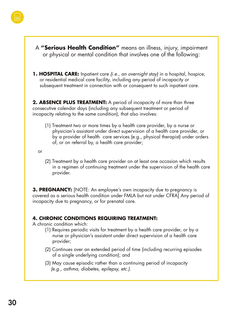

A **"Serious Health Condition"** means an illness, injury, impairment or physical or mental condition that involves one of the following:

**1. HOSPITAL CARE:** Inpatient care *(i.e., an overnight stay)* in a hospital, hospice, or residential medical care facility, including any period of incapacity or subsequent treatment in connection with or consequent to such inpatient care.

**2. ABSENCE PLUS TREATMENT:** A period of incapacity of more than three consecutive calendar days (including any subsequent treatment or period of incapacity relating to the same condition), that also involves:

(1) Treatment two or more times by a health care provider, by a nurse or physician's assistant under direct supervision of a health care provider, or by a provider of health care services (e.g., physical therapist) under orders of, or on referral by, a health care provider;

or

(2) Treatment by a health care provider on at least one occasion which results in a regimen of continuing treatment under the supervision of the health care provider.

**3. PREGNANCY:** [NOTE: An employee's own incapacity due to pregnancy is covered as a serious health condition under FMLA but not under CFRA] Any period of incapacity due to pregnancy, or for prenatal care.

#### **4. CHRONIC CONDITIONS REQUIRING TREATMENT:**

A chronic condition which:

- (1) Requires periodic visits for treatment by a health care provider, or by a nurse or physician's assistant under direct supervision of a health care provider;
- (2) Continues over an extended period of time (including recurring episodes of a single underlying condition); and
- (3) May cause episodic rather than a continuing period of incapacity  *(e.g., asthma, diabetes, epilepsy, etc.).*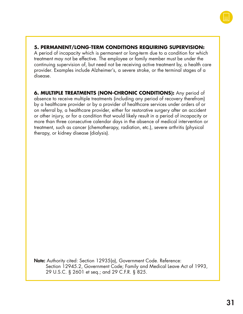

#### **5. PERMANENT/LONG-TERM CONDITIONS REQUIRING SUPERVISION:**

A period of incapacity which is permanent or long-term due to a condition for which treatment may not be effective. The employee or family member must be under the continuing supervision of, but need not be receiving active treatment by, a health care provider. Examples include Alzheimer's, a severe stroke, or the terminal stages of a disease.

**6. MULTIPLE TREATMENTS (NON-CHRONIC CONDITIONS):** Any period of absence to receive multiple treatments (including any period of recovery therefrom) by a healthcare provider or by a provider of healthcare services under orders of or on referral by, a healthcare provider, either for restorative surgery after an accident or other injury, or for a condition that would likely result in a period of incapacity or more than three consecutive calendar days in the absence of medical intervention or treatment, such as cancer (chemotherapy, radiation, etc.), severe arthritis (physical therapy, or kidney disease (dialysis).

Note: Authority cited: Section 12935(a), Government Code. Reference: Section 12945.2, Government Code; Family and Medical Leave Act of 1993, 29 U.S.C. § 2601 et seq.; and 29 C.F.R. § 825.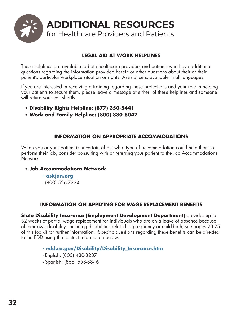

#### **LEGAL AID AT WORK HELPLINES**

These helplines are available to both healthcare providers and patients who have additional questions regarding the information provided herein or other questions about their or their patient's particular workplace situation or rights. Assistance is available in all languages.

If you are interested in receiving a training regarding these protections and your role in helping your patients to secure them, please leave a message at either of these helplines and someone will return your call shortly.

- **Disability Rights Helpline: (877) 350-5441**
- **Work and Family Helpline: (800) 880-8047**

#### **INFORMATION ON APPROPRIATE ACCOMMODATIONS**

When you or your patient is uncertain about what type of accommodation could help them to perform their job, consider consulting with or referring your patient to the Job Accommodations Network.

#### **• Job Accommodations Network**

**- askjan.org** - (800) 526-7234

#### **INFORMATION ON APPLYING FOR WAGE REPLACEMENT BENEFITS**

**State Disability Insurance (Employment Development Department)** provides up to 52 weeks of partial wage replacement for individuals who are on a leave of absence because of their own disability, including disabilities related to pregnancy or child-birth; see pages 23-25 of this toolkit for further information. Specific questions regarding these benefits can be directed to the EDD using the contact information below.

#### **- edd.ca.gov/Disability/Disability\_Insurance.htm**

- English: (800) 480-3287
- Spanish: (866) 658-8846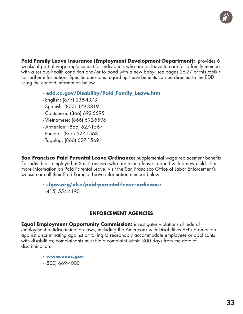

**Paid Family Leave Insurance (Employment Development Department):** provides 6 weeks of partial wage replacement for individuals who are on leave to care for a family member with a serious health condition and/or to bond with a new baby; see pages 26-27 of this toolkit for further information. Specific questions regarding these benefits can be directed to the EDD using the contact information below.

- **edd.ca.gov/Disability/Paid\_Family\_Leave.htm**
- English: (877) 238-4373
- Spanish: (877) 379-3819
- Cantonese: (866) 692-5595
- Vietnamese: (866) 692-5596
- Armenian: (866) 627-1567
- Punjabi: (866) 627-1568
- Tagalog: (866) 627-1569

**San Francisco Paid Parental Leave Ordinance:** supplemental wage replacement benefits for individuals employed in San Francisco who are taking leave to bond with a new child. For more information on Paid Parental Leave, visit the San Francisco Office of Labor Enforcement's website or call their Paid Parental Leave information number below.

**- sfgov.org/olse/paid-parental-leave-ordinance**

- (415) 554-4190

#### **ENFORCEMENT AGENCIES**

**Equal Employment Opportunity Commission:** investigates violations of federal employment antidiscrimination laws, including the Americans with Disabilities Act's prohibition against discriminating against or failing to reasonably accommodate employees or applicants with disabilities; complainants must file a complaint within 300 days from the date of discrimination.

> **- www.eeoc.gov** - (800) 669-4000